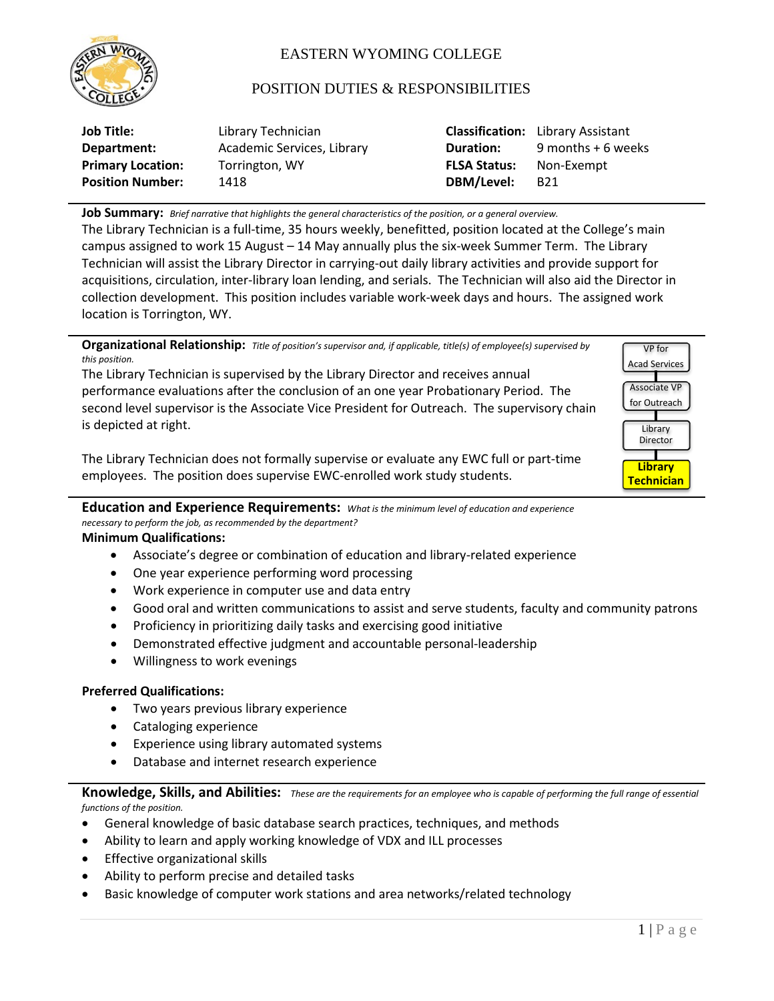

# EASTERN WYOMING COLLEGE

## POSITION DUTIES & RESPONSIBILITIES

| <b>Job Title:</b>        | Library Technician         |                     | <b>Classification:</b> Library Assistant |
|--------------------------|----------------------------|---------------------|------------------------------------------|
| Department:              | Academic Services, Library | <b>Duration:</b>    | 9 months + 6 weeks                       |
| <b>Primary Location:</b> | Torrington, WY             | <b>FLSA Status:</b> | Non-Exempt                               |
| <b>Position Number:</b>  | 1418                       | DBM/Level:          | B <sub>21</sub>                          |

**Job Summary:** *Brief narrative that highlights the general characteristics of the position, or a general overview.*

The Library Technician is a full-time, 35 hours weekly, benefitted, position located at the College's main campus assigned to work 15 August – 14 May annually plus the six-week Summer Term. The Library Technician will assist the Library Director in carrying-out daily library activities and provide support for acquisitions, circulation, inter-library loan lending, and serials. The Technician will also aid the Director in collection development. This position includes variable work-week days and hours. The assigned work location is Torrington, WY.



**Education and Experience Requirements:** *What is the minimum level of education and experience* 

*necessary to perform the job, as recommended by the department?* **Minimum Qualifications:**

- Associate's degree or combination of education and library-related experience
- One year experience performing word processing
- Work experience in computer use and data entry
- Good oral and written communications to assist and serve students, faculty and community patrons
- Proficiency in prioritizing daily tasks and exercising good initiative
- Demonstrated effective judgment and accountable personal-leadership
- Willingness to work evenings

## **Preferred Qualifications:**

- Two years previous library experience
- Cataloging experience
- Experience using library automated systems
- Database and internet research experience

**Knowledge, Skills, and Abilities:** *These are the requirements for an employee who is capable of performing the full range of essential functions of the position.*

- General knowledge of basic database search practices, techniques, and methods
- Ability to learn and apply working knowledge of VDX and ILL processes
- Effective organizational skills
- Ability to perform precise and detailed tasks
- Basic knowledge of computer work stations and area networks/related technology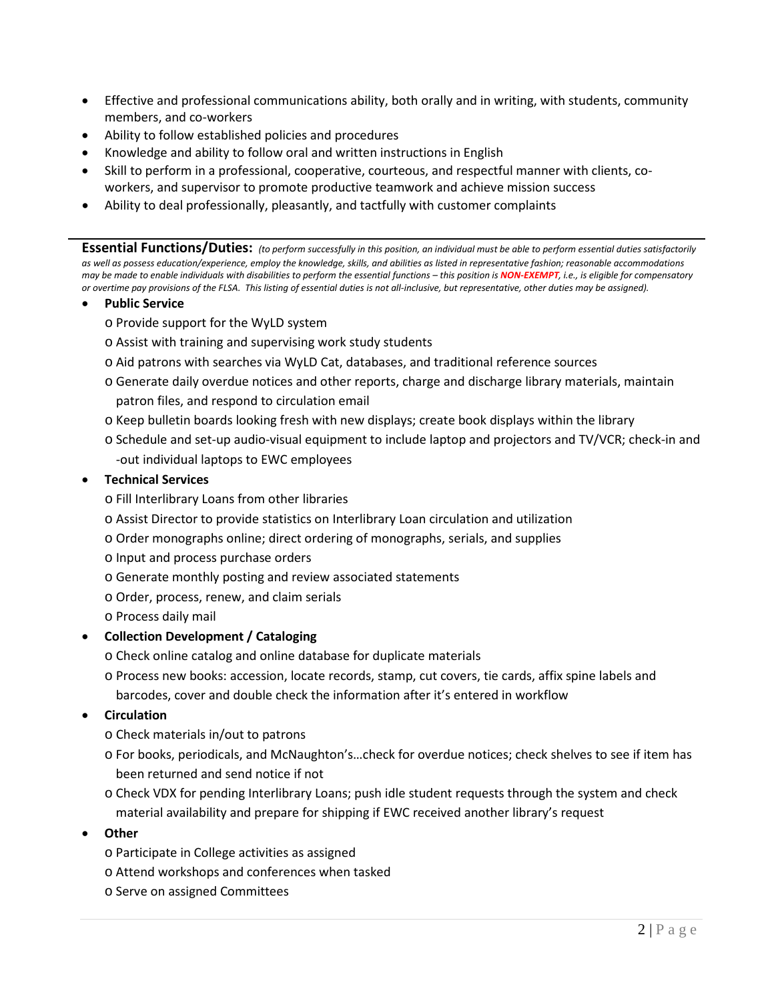- Effective and professional communications ability, both orally and in writing, with students, community members, and co-workers
- Ability to follow established policies and procedures
- Knowledge and ability to follow oral and written instructions in English
- Skill to perform in a professional, cooperative, courteous, and respectful manner with clients, coworkers, and supervisor to promote productive teamwork and achieve mission success
- Ability to deal professionally, pleasantly, and tactfully with customer complaints

**Essential Functions/Duties:** *(to perform successfully in this position, an individual must be able to perform essential duties satisfactorily*  as well as possess education/experience, employ the knowledge, skills, and abilities as listed in representative fashion; reasonable accommodations *may be made to enable individuals with disabilities to perform the essential functions – this position is NON-EXEMPT, i.e., is eligible for compensatory or overtime pay provisions of the FLSA. This listing of essential duties is not all-inclusive, but representative, other duties may be assigned).*

- **Public Service**
	- o Provide support for the WyLD system
	- o Assist with training and supervising work study students
	- o Aid patrons with searches via WyLD Cat, databases, and traditional reference sources
	- o Generate daily overdue notices and other reports, charge and discharge library materials, maintain patron files, and respond to circulation email
	- o Keep bulletin boards looking fresh with new displays; create book displays within the library
	- o Schedule and set-up audio-visual equipment to include laptop and projectors and TV/VCR; check-in and -out individual laptops to EWC employees

#### • **Technical Services**

o Fill Interlibrary Loans from other libraries

- o Assist Director to provide statistics on Interlibrary Loan circulation and utilization
- o Order monographs online; direct ordering of monographs, serials, and supplies
- o Input and process purchase orders
- o Generate monthly posting and review associated statements
- o Order, process, renew, and claim serials

o Process daily mail

## • **Collection Development / Cataloging**

o Check online catalog and online database for duplicate materials

o Process new books: accession, locate records, stamp, cut covers, tie cards, affix spine labels and barcodes, cover and double check the information after it's entered in workflow

#### • **Circulation**

o Check materials in/out to patrons

- o For books, periodicals, and McNaughton's…check for overdue notices; check shelves to see if item has been returned and send notice if not
- o Check VDX for pending Interlibrary Loans; push idle student requests through the system and check material availability and prepare for shipping if EWC received another library's request
- **Other**
	- o Participate in College activities as assigned
	- o Attend workshops and conferences when tasked
	- o Serve on assigned Committees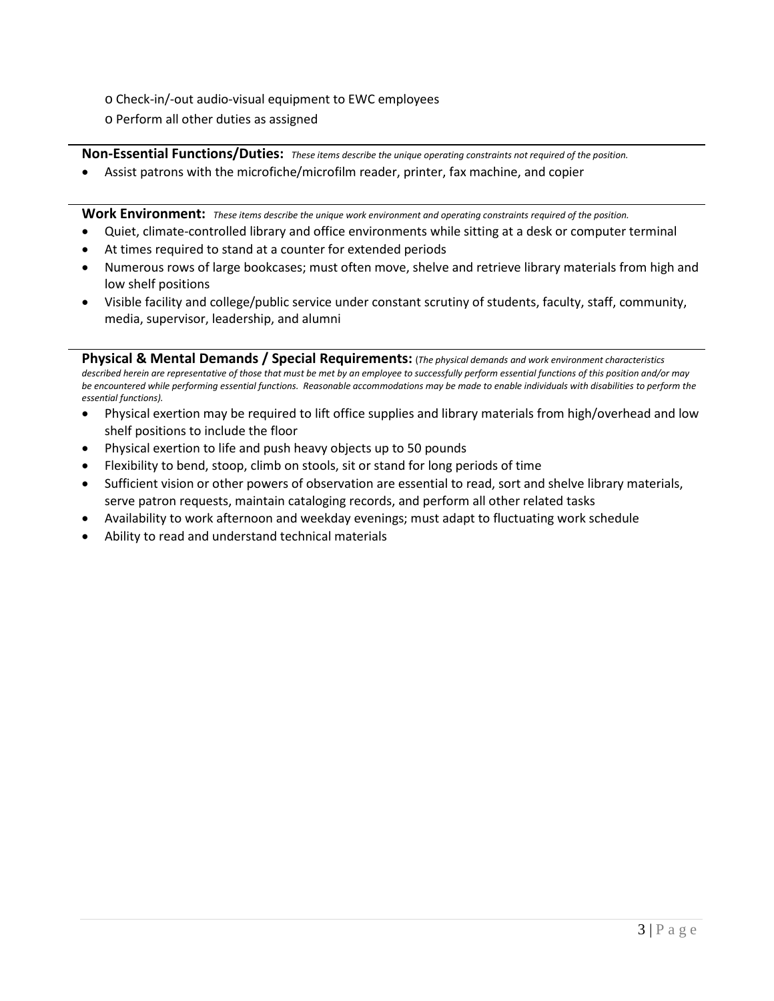- o Check-in/-out audio-visual equipment to EWC employees
- o Perform all other duties as assigned

**Non-Essential Functions/Duties:** *These items describe the unique operating constraints not required of the position.*

• Assist patrons with the microfiche/microfilm reader, printer, fax machine, and copier

**Work Environment:** *These items describe the unique work environment and operating constraints required of the position.*

- Quiet, climate-controlled library and office environments while sitting at a desk or computer terminal
- At times required to stand at a counter for extended periods
- Numerous rows of large bookcases; must often move, shelve and retrieve library materials from high and low shelf positions
- Visible facility and college/public service under constant scrutiny of students, faculty, staff, community, media, supervisor, leadership, and alumni

**Physical & Mental Demands / Special Requirements:** (*The physical demands and work environment characteristics described herein are representative of those that must be met by an employee to successfully perform essential functions of this position and/or may be encountered while performing essential functions. Reasonable accommodations may be made to enable individuals with disabilities to perform the essential functions).*

- Physical exertion may be required to lift office supplies and library materials from high/overhead and low shelf positions to include the floor
- Physical exertion to life and push heavy objects up to 50 pounds
- Flexibility to bend, stoop, climb on stools, sit or stand for long periods of time
- Sufficient vision or other powers of observation are essential to read, sort and shelve library materials, serve patron requests, maintain cataloging records, and perform all other related tasks
- Availability to work afternoon and weekday evenings; must adapt to fluctuating work schedule
- Ability to read and understand technical materials